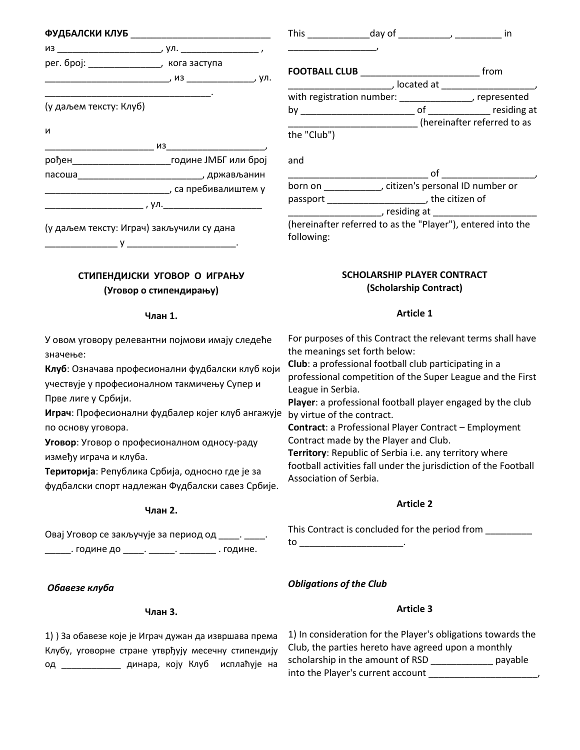|                                             | ФУДБАЛСКИ КЛУБ ________________________________ |
|---------------------------------------------|-------------------------------------------------|
|                                             |                                                 |
| рег. број: __________________, кога заступа |                                                 |
|                                             |                                                 |
| (у даљем тексту: Клуб)                      |                                                 |
| и                                           |                                                 |
|                                             |                                                 |
|                                             |                                                 |
|                                             |                                                 |
|                                             |                                                 |
|                                             |                                                 |
| (у даљем тексту: Играч) закључили су дана   |                                                 |
|                                             |                                                 |

# **СТИПЕНДИЈСКИ УГОВОР О ИГРАЊУ (Уговор о стипендирању)**

# **Члан 1.**

У овом уговору релевантни појмови имају следеће значење:

**Клуб**: Означава професионални фудбалски клуб који учествује у професионалном такмичењу Супер и Прве лиге у Србији.

**Играч**: Професионални фудбалер којег клуб ангажује by virtue of the contract. по основу уговора.

**Уговор**: Уговор о професионалном односу-раду између играча и клуба.

**Територија**: Република Србија, односно где је за фудбалски спорт надлежан Фудбалски савез Србије.

# **Члан 2.**

Овај Уговор се закључује за период од \_\_\_\_. \_\_\_\_\_\_\_. године до \_\_\_\_\_. \_\_\_\_\_\_\_. \_\_\_\_\_\_\_\_\_\_ . године.

*Обавезе клуба*

# **Члан 3.**

1) ) За обавезе које је Играч дужан да извршава према Клубу, уговорне стране утврђују месечну стипендију од \_\_\_\_\_\_\_\_\_\_\_\_ динара, коју Клуб исплаћује на

| <b>FOOTBALL CLUB</b>      | from                                                                                                                                                                                                                                 |
|---------------------------|--------------------------------------------------------------------------------------------------------------------------------------------------------------------------------------------------------------------------------------|
|                           | , located at                                                                                                                                                                                                                         |
| with registration number: |                                                                                                                                                                                                                                      |
| b٧                        | of residing at                                                                                                                                                                                                                       |
|                           | (hereinafter referred to as                                                                                                                                                                                                          |
| the "Club")               |                                                                                                                                                                                                                                      |
| and                       |                                                                                                                                                                                                                                      |
|                           | οf                                                                                                                                                                                                                                   |
| born on                   | , citizen's personal ID number or                                                                                                                                                                                                    |
| passport                  | the citizen of                                                                                                                                                                                                                       |
|                           | , residing at <b>the contract of the contract of the contract of the contract of the contract of the contract of the contract of the contract of the contract of the contract of the contract of the contract of the contract of</b> |
|                           |                                                                                                                                                                                                                                      |

This \_\_\_\_\_\_\_\_\_\_\_\_day of \_\_\_\_\_\_\_\_\_\_, \_\_\_\_\_\_\_\_\_ in

einafter referred to as the "Player"), entered into the owing:

# **SCHOLARSHIP PLAYER CONTRACT (Scholarship Contract)**

# **Article 1**

For purposes of this Contract the relevant terms shall have the meanings set forth below:

**Club**: a professional football club participating in a professional competition of the Super League and the First League in Serbia.

**Player**: a professional football player engaged by the club

**Contract**: a Professional Player Contract – Employment Contract made by the Player and Club.

**Territory**: Republic of Serbia i.e. any territory where football activities fall under the jurisdiction of the Football Association of Serbia.

# **Article 2**

This Contract is concluded for the period from

 $\mathsf{to}$   $\qquad \qquad \ldots$ 

# *Obligations of the Club*

# **Article 3**

| 1) In consideration for the Player's obligations towards the |         |  |  |  |
|--------------------------------------------------------------|---------|--|--|--|
| Club, the parties hereto have agreed upon a monthly          |         |  |  |  |
| scholarship in the amount of RSD                             | payable |  |  |  |
| into the Player's current account                            |         |  |  |  |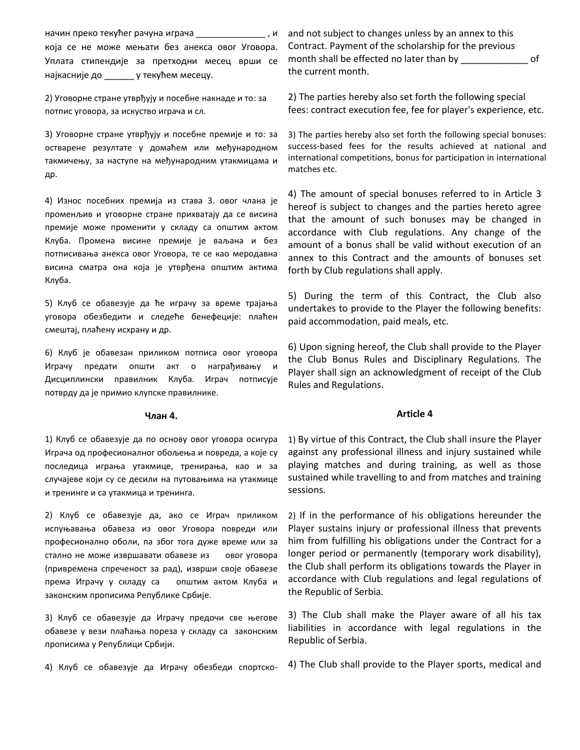начин преко текућег рачуна играча \_\_\_\_\_\_\_\_\_\_\_\_\_\_ , и која се не може мењати без анекса овог Уговора. Уплата стипендије за претходни месец врши се најкасније до \_\_\_\_\_\_ у текућем месецу.

2) Уговорне стране утврђују и посебне накнаде и то: за потпис уговора, за искуство играча и сл.

3) Уговорне стране утврђују и посебне премије и то: за остварене резултате у домаћем или међународном такмичењу, за наступе на међународним утакмицама и др.

4) Износ посебних премија из става 3. овог члана је променљив и уговорне стране прихватају да се висина премије може променити у складу са општим актом Клуба. Промена висине премије је ваљана и без потписивања анекса овог Уговора, те се као меродавна висина сматра она која је утврђена општим актима Клуба.

5) Клуб се обавезује да ће играчу за време трајања уговора обезбедити и следеће бенефеције: плаћен смештај, плаћену исхрану и др.

6) Клуб је обавезан приликом потписа овог уговора Играчу предати општи акт о награђивању и Дисциплински правилник Клуба. Играч потписује потврду да је примио клупске правилнике.

## **Члан 4.**

1) Клуб се обавезује да по основу овог уговора осигура Играча од професионалног обољења и повреда, а које су последица играња утакмице, тренирања, као и за случајеве који су се десили на путовањима на утакмице и тренинге и са утакмица и тренинга.

2) Клуб се обавезује да, ако се Играч приликом испуњавања обавеза из овог Уговора повреди или професионално оболи, па због тога дуже време или за стално не може извршавати обавезе из овог уговора (привремена спреченост за рад), изврши своје обавезе према Играчу у складу са општим актом Клуба и законским прописима Републике Србије.

3) Клуб се обавезује да Играчу предочи све његове обавезе у вези плаћања пореза у складу са законским прописима у Републици Србији.

4) Клуб се обавезује да Играчу обезбеди спортско-

and not subject to changes unless by an annex to this Contract. Payment of the scholarship for the previous month shall be effected no later than by denote the of the current month.

2) The parties hereby also set forth the following special fees: contract execution fee, fee for player's experience, etc.

3) The parties hereby also set forth the following special bonuses: success-based fees for the results achieved at national and international competitions, bonus for participation in international matches etc.

4) The amount of special bonuses referred to in Article 3 hereof is subject to changes and the parties hereto agree that the amount of such bonuses may be changed in accordance with Club regulations. Any change of the amount of a bonus shall be valid without execution of an annex to this Contract and the amounts of bonuses set forth by Club regulations shall apply.

5) During the term of this Contract, the Club also undertakes to provide to the Player the following benefits: paid accommodation, paid meals, etc.

6) Upon signing hereof, the Club shall provide to the Player the Club Bonus Rules and Disciplinary Regulations. The Player shall sign an acknowledgment of receipt of the Club Rules and Regulations.

#### **Article 4**

1) By virtue of this Contract, the Club shall insure the Player against any professional illness and injury sustained while playing matches and during training, as well as those sustained while travelling to and from matches and training sessions.

2) If in the performance of his obligations hereunder the Player sustains injury or professional illness that prevents him from fulfilling his obligations under the Contract for a longer period or permanently (temporary work disability), the Club shall perform its obligations towards the Player in accordance with Club regulations and legal regulations of the Republic of Serbia.

3) The Club shall make the Player aware of all his tax liabilities in accordance with legal regulations in the Republic of Serbia.

4) The Club shall provide to the Player sports, medical and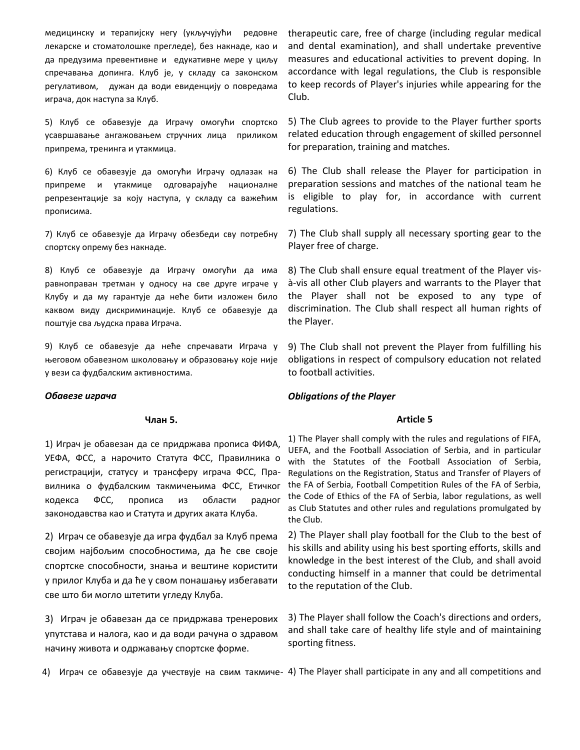медицинску и терапијску негу (укључујући редовне лекарске и стоматолошке прегледе), без накнаде, као и да предузима превентивне и едукативне мере у циљу спречавања допинга. Клуб је, у складу са законском регулативом, дужан да води евиденцију о повредама играча, док наступа за Клуб.

5) Клуб се обавезује да Играчу омогући спортско усавршавање ангажовањем стручних лица приликом припрема, тренинга и утакмица.

6) Клуб се обавезује да омогући Играчу одлазак на припреме и утакмице одговарајуће националне репрезентације за коју наступа, у складу са важећим прописима.

7) Клуб се обавезује да Играчу обезбеди сву потребну спортску опрему без накнаде.

8) Клуб се обавезује да Играчу омогући да има равноправан третман у односу на све друге играче у Клубу и да му гарантује да неће бити изложен било каквом виду дискриминације. Клуб се обавезује да поштује сва људска права Играча.

9) Клуб се обавезује да неће спречавати Играча у његовом обавезном школовању и образовању које није у вези са фудбалским активностима.

#### *Обавезе играча*

#### **Члан 5.**

1) Играч је обавезан да се придржава прописа ФИФА, УЕФА, ФСС, а нарочито Статута ФСС, Правилника о регистрацији, статусу и трансферу играча ФСС, Правилника о фудбалским такмичењима ФСС, Етичког кодекса ФСС, прописа из области радног законодавства као и Статута и других аката Клуба.

2) Играч се обавезује да игра фудбал за Клуб према својим најбољим способностима, да ће све своје спортске способности, знања и вештине користити у прилог Клуба и да ће у свом понашању избегавати све што би могло штетити угледу Клуба.

3) Играч је обавезан да се придржава тренерових упутстава и налога, као и да води рачуна о здравом начину живота и одржавању спортске форме.

therapeutic care, free of charge (including regular medical and dental examination), and shall undertake preventive measures and educational activities to prevent doping. In accordance with legal regulations, the Club is responsible to keep records of Player's injuries while appearing for the Club.

5) The Club agrees to provide to the Player further sports related education through engagement of skilled personnel for preparation, training and matches.

6) The Club shall release the Player for participation in preparation sessions and matches of the national team he is eligible to play for, in accordance with current regulations.

7) The Club shall supply all necessary sporting gear to the Player free of charge.

8) The Club shall ensure equal treatment of the Player visà-vis all other Club players and warrants to the Player that the Player shall not be exposed to any type of discrimination. The Club shall respect all human rights of the Player.

9) The Club shall not prevent the Player from fulfilling his obligations in respect of compulsory education not related to football activities.

## *Obligations of the Player*

#### **Article 5**

1) The Player shall comply with the rules and regulations of FIFA, UEFA, and the Football Association of Serbia, and in particular with the Statutes of the Football Association of Serbia, Regulations on the Registration, Status and Transfer of Players of the FA of Serbia, Football Competition Rules of the FA of Serbia, the Code of Ethics of the FA of Serbia, labor regulations, as well as Club Statutes and other rules and regulations promulgated by the Club.

2) The Player shall play football for the Club to the best of his skills and ability using his best sporting efforts, skills and knowledge in the best interest of the Club, and shall avoid conducting himself in a manner that could be detrimental to the reputation of the Club.

3) The Player shall follow the Coach's directions and orders, and shall take care of healthy life style and of maintaining sporting fitness.

4) Играч се обавезује да учествује на свим такмиче-4) The Player shall participate in any and all competitions and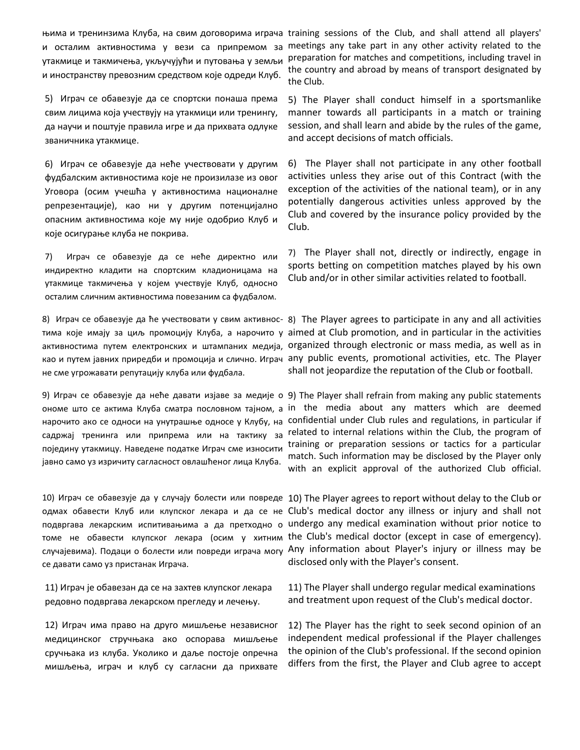и осталим активностима у вези са припремом за утакмице и такмичења, укључујући и путовања у земљи и иностранству превозним средством које одреди Клуб.

5) Играч се обавезује да се спортски понаша према свим лицима која учествују на утакмици или тренингу, да научи и поштује правила игре и да прихвата одлуке званичника утакмице.

6) Играч се обавезује да неће учествовати у другим фудбалским активностима које не произилазе из овог Уговора (осим учешћа у активностима националне репрезентације), као ни у другим потенцијално опасним активностима које му није одобрио Клуб и које осигурање клуба не покрива.

7) Играч се обавезује да се неће директно или индиректно кладити на спортским кладионицама на утакмице такмичења у којем учествује Клуб, односно осталим сличним активностима повезаним са фудбалом.

не сме угрожавати репутацију клуба или фудбала.

нарочито ако се односи на унутрашње односе у Клубу, на садржај тренинга или припрема или на тактику за поједину утакмицу. Наведене податке Играч сме износити јавно само уз изричиту сагласност овлашћеног лица Клуба.

томе не обавести клупског лекара (осим у хитним се давати само уз пристанак Играча.

11) Играч је обавезан да се на захтев клупског лекара редовно подвргава лекарском прегледу и лечењу.

12) Играч има право на друго мишљење независног медицинског стручњака ако оспорава мишљење сручњака из клуба. Уколико и даље постоје опречна мишљења, играч и клуб су сагласни да прихвате

њима и тренинзима Клуба, на свим договорима играча training sessions of the Club, and shall attend all players' meetings any take part in any other activity related to the preparation for matches and competitions, including travel in the country and abroad by means of transport designated by the Club.

> 5) The Player shall conduct himself in a sportsmanlike manner towards all participants in a match or training session, and shall learn and abide by the rules of the game, and accept decisions of match officials.

> 6) The Player shall not participate in any other football activities unless they arise out of this Contract (with the exception of the activities of the national team), or in any potentially dangerous activities unless approved by the Club and covered by the insurance policy provided by the Club.

> 7) The Player shall not, directly or indirectly, engage in sports betting on competition matches played by his own Club and/or in other similar activities related to football.

8) Играч се обавезује да ће учествовати у свим активнос-8) The Player agrees to participate in any and all activities тима које имају за циљ промоцију Клуба, а нарочито у aimed at Club promotion, and in particular in the activities активностима путем електронских и штампаних медија, organized through electronic or mass media, as well as in као и путем јавних приредби и промоција и слично. Играч any public events, promotional activities, etc. The Player shall not jeopardize the reputation of the Club or football.

9) Играч се обавезује да неће давати изјаве за медије о 9) The Player shall refrain from making any public statements ономе што се актима Клуба сматра пословном тајном, а in the media about any matters which are deemed confidential under Club rules and regulations, in particular if related to internal relations within the Club, the program of training or preparation sessions or tactics for a particular match. Such information may be disclosed by the Player only with an explicit approval of the authorized Club official.

10) Играч се обавезује да у случају болести или повреде 10) The Player agrees to report without delay to the Club or одмах обавести Клуб или клупског лекара и да се не Club's medical doctor any illness or injury and shall not подвргава лекарским испитивањима а да претходно о undergo any medical examination without prior notice to случајевима). Подаци о болести или повреди играча могу Any information about Player's injury or illness may be the Club's medical doctor (except in case of emergency). disclosed only with the Player's consent.

> 11) The Player shall undergo regular medical examinations and treatment upon request of the Club's medical doctor.

12) The Player has the right to seek second opinion of an independent medical professional if the Player challenges the opinion of the Club's professional. If the second opinion differs from the first, the Player and Club agree to accept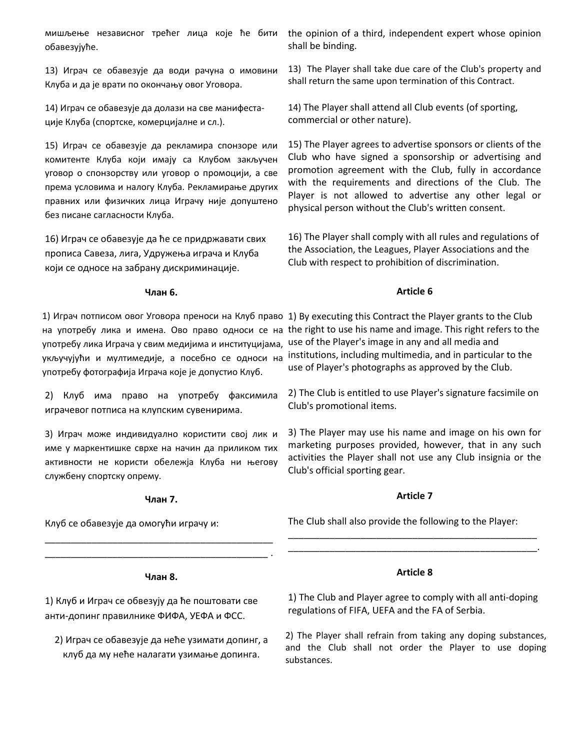обавезујуће.

13) Играч се обавезује да води рачуна о имовини Клуба и да је врати по окончању овог Уговора.

14) Играч се обавезује да долази на све манифестације Клуба (спортске, комерцијалне и сл.).

15) Играч се обавезује да рекламира спонзоре или комитенте Клуба који имају са Клубом закључен уговор о спонзорству или уговор о промоцији, а све према условима и налогу Клуба. Рекламирање других правних или физичких лица Играчу није допуштено без писане сагласности Клуба.

16) Играч се обавезује да ће се придржавати свих прописа Савеза, лига, Удружења играча и Клуба који се односе на забрану дискриминације.

#### **Члан 6.**

употребу лика Играча у свим медијима и институцијама, укључујући и мултимедије, а посебно се односи на употребу фотографија Играча које је допустио Клуб.

2) Клуб има право на употребу факсимила играчевог потписа на клупским сувенирима.

3) Играч може индивидуално користити свој лик и име у маркентишке сврхе на начин да приликом тих активности не користи обележја Клуба ни његову службену спортску опрему.

#### **Члан 7.**

\_\_\_\_\_\_\_\_\_\_\_\_\_\_\_\_\_\_\_\_\_\_\_\_\_\_\_\_\_\_\_\_\_\_\_\_\_\_\_\_\_\_\_\_ \_\_\_\_\_\_\_\_\_\_\_\_\_\_\_\_\_\_\_\_\_\_\_\_\_\_\_\_\_\_\_\_\_\_\_\_\_\_\_\_\_\_\_ .

Клуб се обавезује да омогући играчу и:

мишљење независног трећег лица које ће бити the opinion of a third, independent expert whose opinion shall be binding.

> 13) The Player shall take due care of the Club's property and shall return the same upon termination of this Contract.

14) The Player shall attend all Club events (of sporting, commercial or other nature).

15) The Player agrees to advertise sponsors or clients of the Club who have signed a sponsorship or advertising and promotion agreement with the Club, fully in accordance with the requirements and directions of the Club. The Player is not allowed to advertise any other legal or physical person without the Club's written consent.

16) The Player shall comply with all rules and regulations of the Association, the Leagues, Player Associations and the Club with respect to prohibition of discrimination.

# **Article 6**

1) Играч потписом овог Уговора преноси на Клуб право 1) By executing this Contract the Player grants to the Club на употребу лика и имена. Ово право односи се на the right to use his name and image. This right refers to the use of the Player's image in any and all media and institutions, including multimedia, and in particular to the use of Player's photographs as approved by the Club.

> 2) The Club is entitled to use Player's signature facsimile on Club's promotional items.

3) The Player may use his name and image on his own for marketing purposes provided, however, that in any such activities the Player shall not use any Club insignia or the Club's official sporting gear.

# **Article 7**

The Club shall also provide the following to the Player:

#### **Члан 8.**

1) Клуб и Играч се обвезују да ће поштовати све анти-допинг правилнике ФИФА, УЕФА и ФСС.

2) Играч се обавезује да неће узимати допинг, а клуб да му неће налагати узимање допинга.

1) The Club and Player agree to comply with all anti-doping regulations of FIFA, UEFA and the FA of Serbia.

2) The Player shall refrain from taking any doping substances, and the Club shall not order the Player to use doping substances.

# **Article 8**

\_\_\_\_\_\_\_\_\_\_\_\_\_\_\_\_\_\_\_\_\_\_\_\_\_\_\_\_\_\_\_\_\_\_\_\_\_\_\_\_\_\_\_\_\_\_\_\_ \_\_\_\_\_\_\_\_\_\_\_\_\_\_\_\_\_\_\_\_\_\_\_\_\_\_\_\_\_\_\_\_\_\_\_\_\_\_\_\_\_\_\_\_\_\_\_\_.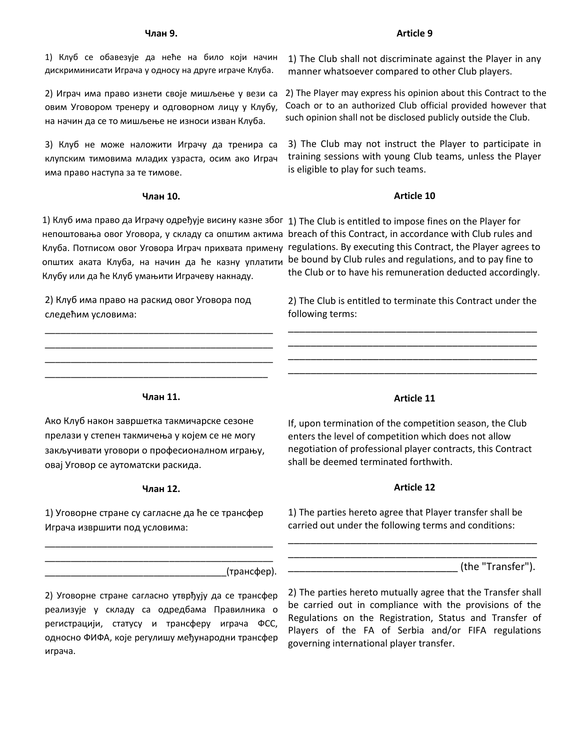#### **Члан 9.**

1) Клуб се обавезује да неће на било који начин дискриминисати Играча у односу на друге играче Клуба.

2) Играч има право изнети своје мишљење у вези са овим Уговором тренеру и одговорном лицу у Клубу, на начин да се то мишљење не износи изван Клуба.

3) Клуб не може наложити Играчу да тренира са клупским тимовима младих узраста, осим ако Играч има право наступа за те тимове.

#### **Члан 10.**

1) Клуб има право да Играчу одређује висину казне због 1) The Club is entitled to impose fines on the Player for Клуба. Потписом овог Уговора Играч прихвата примену општих аката Клуба, на начин да ће казну уплатити Клубу или да ће Клуб умањити Играчеву накнаду.

2) Клуб има право на раскид овог Уговора под следећим условима:

\_\_\_\_\_\_\_\_\_\_\_\_\_\_\_\_\_\_\_\_\_\_\_\_\_\_\_\_\_\_\_\_\_\_\_\_\_\_\_\_\_\_\_\_ \_\_\_\_\_\_\_\_\_\_\_\_\_\_\_\_\_\_\_\_\_\_\_\_\_\_\_\_\_\_\_\_\_\_\_\_\_\_\_\_\_\_\_\_ \_\_\_\_\_\_\_\_\_\_\_\_\_\_\_\_\_\_\_\_\_\_\_\_\_\_\_\_\_\_\_\_\_\_\_\_\_\_\_\_\_\_\_\_ \_\_\_\_\_\_\_\_\_\_\_\_\_\_\_\_\_\_\_\_\_\_\_\_\_\_\_\_\_\_\_\_\_\_\_\_\_\_\_\_\_\_\_

# 1) The Club shall not discriminate against the Player in any

2) The Player may express his opinion about this Contract to the Coach or to an authorized Club official provided however that such opinion shall not be disclosed publicly outside the Club.

3) The Club may not instruct the Player to participate in training sessions with young Club teams, unless the Player is eligible to play for such teams.

## **Article 10**

непоштовања овог Уговора, у складу са општим актима breach of this Contract, in accordance with Club rules and regulations. By executing this Contract, the Player agrees to be bound by Club rules and regulations, and to pay fine to the Club or to have his remuneration deducted accordingly.

> 2) The Club is entitled to terminate this Contract under the following terms:

> \_\_\_\_\_\_\_\_\_\_\_\_\_\_\_\_\_\_\_\_\_\_\_\_\_\_\_\_\_\_\_\_\_\_\_\_\_\_\_\_\_\_\_\_ \_\_\_\_\_\_\_\_\_\_\_\_\_\_\_\_\_\_\_\_\_\_\_\_\_\_\_\_\_\_\_\_\_\_\_\_\_\_\_\_\_\_\_\_ \_\_\_\_\_\_\_\_\_\_\_\_\_\_\_\_\_\_\_\_\_\_\_\_\_\_\_\_\_\_\_\_\_\_\_\_\_\_\_\_\_\_\_\_ \_\_\_\_\_\_\_\_\_\_\_\_\_\_\_\_\_\_\_\_\_\_\_\_\_\_\_\_\_\_\_\_\_\_\_\_\_\_\_\_\_\_\_\_

#### **Члан 11.**

Ако Клуб након завршетка такмичарске сезоне прелази у степен такмичења у којем се не могу закључивати уговори о професионалном игрању, овај Уговор се аутоматски раскида.

#### **Члан 12.**

1) Уговорне стране су сагласне да ће се трансфер Играча извршити под условима:

\_\_\_\_\_\_\_\_\_\_\_\_\_\_\_\_\_\_\_\_\_\_\_\_\_\_\_\_\_\_\_\_\_\_\_\_\_\_\_\_\_\_\_\_ \_\_\_\_\_\_\_\_\_\_\_\_\_\_\_\_\_\_\_\_\_\_\_\_\_\_\_\_\_\_\_\_\_\_\_\_\_\_\_\_\_\_\_\_

# **Article 11**

If, upon termination of the competition season, the Club enters the level of competition which does not allow negotiation of professional player contracts, this Contract shall be deemed terminated forthwith.

#### **Article 12**

1) The parties hereto agree that Player transfer shall be carried out under the following terms and conditions:

\_\_\_\_\_\_\_\_\_\_\_\_\_\_\_\_\_\_\_\_\_\_\_\_\_\_\_\_\_\_\_\_\_\_\_\_\_\_\_\_\_\_\_\_ \_\_\_\_\_\_\_\_\_\_\_\_\_\_\_\_\_\_\_\_\_\_\_\_\_\_\_\_\_\_\_\_\_\_\_\_\_\_\_\_\_\_\_\_

(the "Transfer").

\_\_\_\_\_\_\_\_\_\_\_\_\_\_\_\_\_\_\_\_\_\_\_\_\_\_\_\_\_\_\_\_\_\_\_(трансфер).

2) Уговорне стране сагласно утврђују да се трансфер реализује у складу са одредбама Правилника о регистрацији, статусу и трансферу играча ФСС, односно ФИФА, које регулишу међународни трансфер играча.

2) The parties hereto mutually agree that the Transfer shall be carried out in compliance with the provisions of the Regulations on the Registration, Status and Transfer of Players of the FA of Serbia and/or FIFA regulations governing international player transfer.

#### **Article 9**

manner whatsoever compared to other Club players.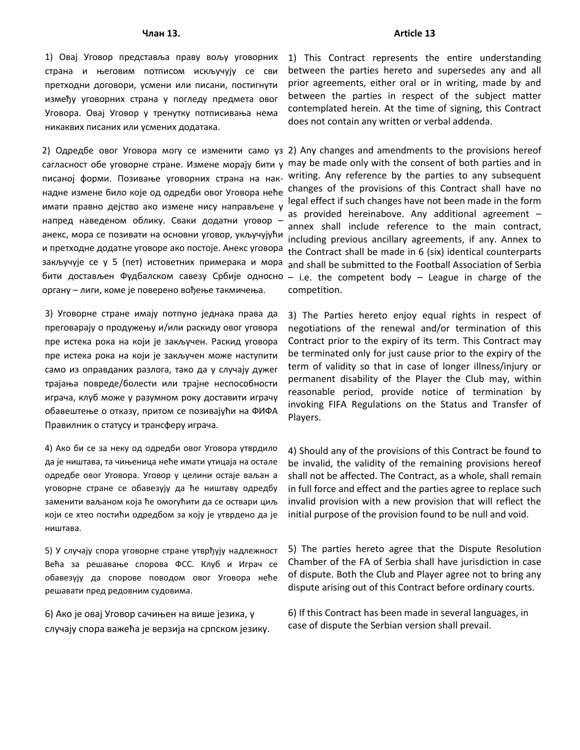1) Овај Уговор представља праву вољу уговорних страна и његовим потписом искључују се сви претходни договори, усмени или писани, постигнути између уговорних страна у погледу предмета овог Уговора. Овај Уговор у тренутку потписивања нема никаквих писаних или усмених додатака.

сагласност обе уговорне стране. Измене морају бити у писаној форми. Позивање уговорних страна на накнадне измене било које од одредби овог Уговора неће имати правно дејство ако измене нису направљене у напред наведеном облику. Сваки додатни уговор – анекс, мора се позивати на основни уговор, укључујући и претходне додатне уговоре ако постоје. Анекс уговора закључује се у 5 (пет) истоветних примерака и мора бити достављен Фудбалском савезу Србије односно органу – лиги, коме је поверено вођење такмичења.

3) Уговорне стране имају потпуно једнака права да преговарају о продужењу и/или раскиду овог уговора пре истека рока на који је закључен. Раскид уговора пре истека рока на који је закључен може наступити само из оправданих разлога, тако да у случају дужег трајања повреде/болести или трајне неспособности играча, клуб може у разумном року доставити играчу обавештење о отказу, притом се позивајући на ФИФА Правилник о статусу и трансферу играча.

4) Ако би се за неку од одредби овог Уговора утврдило да је ништава, та чињеница неће имати утицаја на остале одредбе овог Уговора. Уговор у целини остаје ваљан а уговорне стране се обавезују да ће ништаву одредбу заменити ваљаном која ће омогућити да се оствари циљ који се хтео постићи одредбом за коју је утврдено да је ништава.

5) У случају спора уговорне стране утврђују надлежност Већа за решавање спорова ФСС. Клуб и Играч се обавезују да спорове поводом овог Уговора неће решавати пред редовним судовима.

6) Ако је овај Уговор сачињен на више језика, у случају спора важећа је верзија на српском језику. 1) This Contract represents the entire understanding between the parties hereto and supersedes any and all prior agreements, either oral or in writing, made by and between the parties in respect of the subject matter contemplated herein. At the time of signing, this Contract does not contain any written or verbal addenda.

2) Одредбе овог Уговора могу се изменити само уз 2) Any changes and amendments to the provisions hereof may be made only with the consent of both parties and in writing. Any reference by the parties to any subsequent changes of the provisions of this Contract shall have no legal effect if such changes have not been made in the form as provided hereinabove. Any additional agreement – annex shall include reference to the main contract, including previous ancillary agreements, if any. Annex to the Contract shall be made in 6 (six) identical counterparts and shall be submitted to the Football Association of Serbia  $-$  i.e. the competent body  $-$  League in charge of the competition.

> 3) The Parties hereto enjoy equal rights in respect of negotiations of the renewal and/or termination of this Contract prior to the expiry of its term. This Contract may be terminated only for just cause prior to the expiry of the term of validity so that in case of longer illness/injury or permanent disability of the Player the Club may, within reasonable period, provide notice of termination by invoking FIFA Regulations on the Status and Transfer of Players.

> 4) Should any of the provisions of this Contract be found to be invalid, the validity of the remaining provisions hereof shall not be affected. The Contract, as a whole, shall remain in full force and effect and the parties agree to replace such invalid provision with a new provision that will reflect the initial purpose of the provision found to be null and void.

> 5) The parties hereto agree that the Dispute Resolution Chamber of the FA of Serbia shall have jurisdiction in case of dispute. Both the Club and Player agree not to bring any dispute arising out of this Contract before ordinary courts.

6) If this Contract has been made in several languages, in case of dispute the Serbian version shall prevail.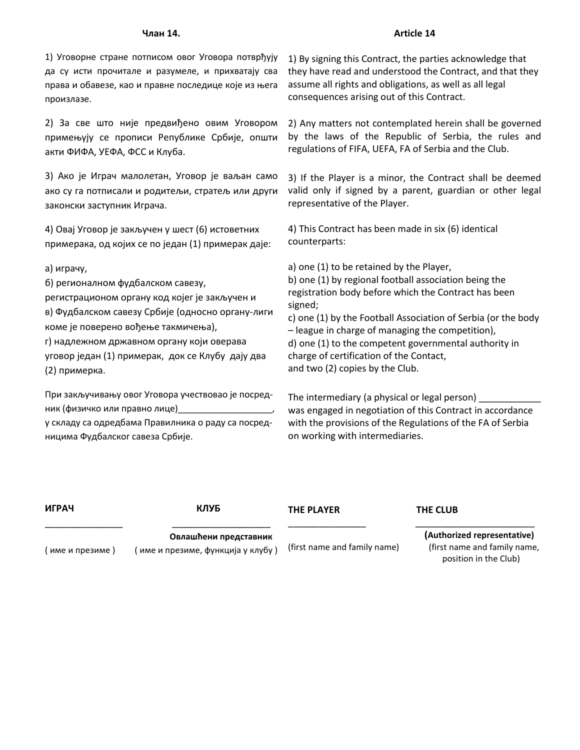#### **Члан 14.**

1) Уговорне стране потписом овог Уговора потврђују да су исти прочитале и разумеле, и прихватају сва права и обавезе, као и правне последице које из њега произлазе.

2) За све што није предвиђено овим Уговором примењују се прописи Републике Србије, општи акти ФИФА, УЕФА, ФСС и Клуба.

3) Ако је Играч малолетан, Уговор је ваљан само ако су га потписали и родитељи, стратељ или други законски заступник Играча.

4) Овај Уговор је закључен у шест (6) истоветних примерака, од којих се по један (1) примерак даје:

а) играчу,

б) регионалном фудбалском савезу,

регистрационом органу код којег је закључен и в) Фудбалском савезу Србије (односно органу-лиги коме је поверено вођење такмичења),

г) надлежном државном органу који оверава уговор један (1) примерак, док се Клубу дају два (2) примерка.

При закључивању овог Уговора учествовао је посредник (физичко или правно лице)\_\_\_\_\_\_\_\_\_\_\_\_\_\_\_\_\_\_\_,

у складу са одредбама Правилника о раду са посредницима Фудбалског савеза Србије.

1) By signing this Contract, the parties acknowledge that they have read and understood the Contract, and that they assume all rights and obligations, as well as all legal consequences arising out of this Contract.

2) Any matters not contemplated herein shall be governed by the laws of the Republic of Serbia, the rules and regulations of FIFA, UEFA, FA of Serbia and the Club.

3) If the Player is a minor, the Contract shall be deemed valid only if signed by a parent, guardian or other legal representative of the Player.

4) This Contract has been made in six (6) identical counterparts:

а) one (1) to be retained by the Player, b) one (1) by regional football association being the registration body before which the Contract has been signed; c) one (1) by the Football Association of Serbia (or the body

– league in charge of managing the competition), d) one (1) to the competent governmental authority in charge of certification of the Contact, and two (2) copies by the Club.

The intermediary (a physical or legal person) was engaged in negotiation of this Contract in accordance with the provisions of the Regulations of the FA of Serbia on working with intermediaries.

| ИГРАЧ             | КЛУБ                                                      | <b>THE PLAYER</b>            | THE CLUB                                                                             |
|-------------------|-----------------------------------------------------------|------------------------------|--------------------------------------------------------------------------------------|
| ( име и презиме ) | Овлашћени представник<br>име и презиме, функција у клубу) | (first name and family name) | (Authorized representative)<br>(first name and family name,<br>position in the Club) |

### **Article 14**